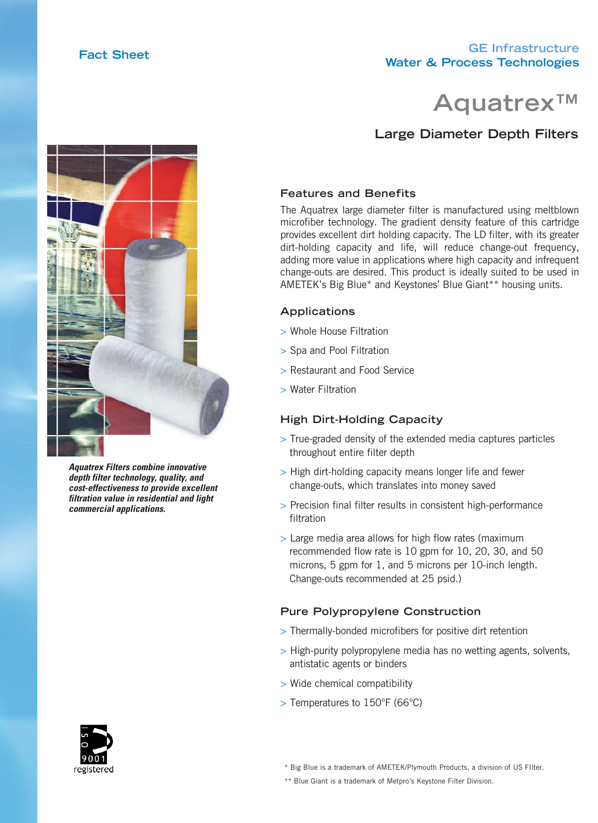# **GE Infrastructure Water & Process Technologies Fact Sheet**



# **Large Diameter Depth Filters**



*Aquatrex Filters combine innovative depth filter technology, quality, and cost-effectiveness to provide excellent filtration value in residential and light commercial applications.*

### **Features and Benefits**

The Aquatrex large diameter filter is manufactured using meltblown microfiber technology. The gradient density feature of this cartridge provides excellent dirt holding capacity. The LD filter, with its greater dirt-holding capacity and life, will reduce change-out frequency, adding more value in applications where high capacity and infrequent change-outs are desired. This product is ideally suited to be used in AMETEK's Big Blue\* and Keystones' Blue Giant\*\* housing units.

#### **Applications**

- > Whole House Filtration
- > Spa and Pool Filtration
- > Restaurant and Food Service
- > Water Filtration

#### **High Dirt-Holding Capacity**

- > True-graded density of the extended media captures particles throughout entire filter depth
- > High dirt-holding capacity means longer life and fewer change-outs, which translates into money saved
- > Precision final filter results in consistent high-performance filtration
- > Large media area allows for high flow rates (maximum recommended flow rate is 10 gpm for 10, 20, 30, and 50 microns, 5 gpm for 1, and 5 microns per 10-inch length. Change-outs recommended at 25 psid.)

#### **Pure Polypropylene Construction**

- > Thermally-bonded microfibers for positive dirt retention
- > High-purity polypropylene media has no wetting agents, solvents, antistatic agents or binders
- > Wide chemical compatibility
- > Temperatures to 150°F (66°C)



\* Big Blue is a trademark of AMETEK/Plymouth Products, a division of US FIlter.

\*\* Blue Giant is a trademark of Metpro's Keystone Filter Division.